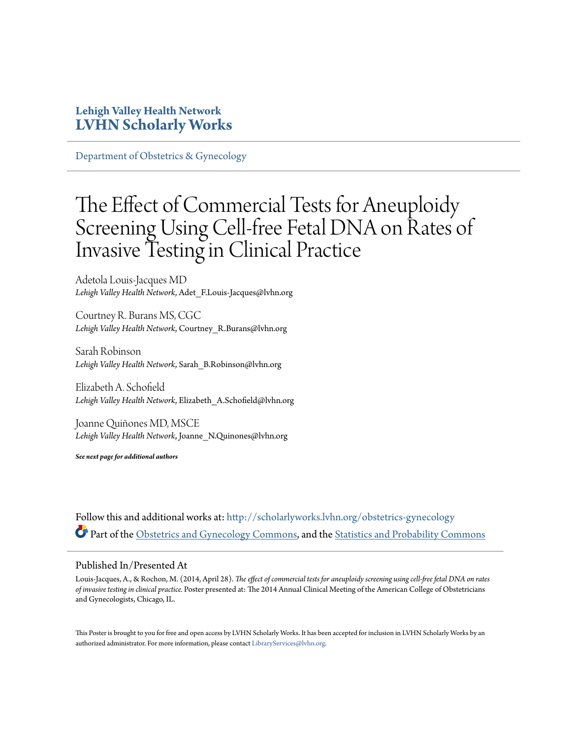### **Lehigh Valley Health Network [LVHN Scholarly Works](http://scholarlyworks.lvhn.org?utm_source=scholarlyworks.lvhn.org%2Fobstetrics-gynecology%2F341&utm_medium=PDF&utm_campaign=PDFCoverPages)**

[Department of Obstetrics & Gynecology](http://scholarlyworks.lvhn.org/obstetrics-gynecology?utm_source=scholarlyworks.lvhn.org%2Fobstetrics-gynecology%2F341&utm_medium=PDF&utm_campaign=PDFCoverPages)

### The Effect of Commercial Tests for Aneuploidy Screening Using Cell-free Fetal DNA on Rates of Invasive Testing in Clinical Practice

Adetola Louis-Jacques MD *Lehigh Valley Health Network*, Adet\_F.Louis-Jacques@lvhn.org

Courtney R. Burans MS, CGC *Lehigh Valley Health Network*, Courtney\_R.Burans@lvhn.org

Sarah Robinson *Lehigh Valley Health Network*, Sarah\_B.Robinson@lvhn.org

Elizabeth A. Schofield *Lehigh Valley Health Network*, Elizabeth\_A.Schofield@lvhn.org

Joanne Quiñones MD, MSCE *Lehigh Valley Health Network*, Joanne\_N.Quinones@lvhn.org

*See next page for additional authors*

Follow this and additional works at: [http://scholarlyworks.lvhn.org/obstetrics-gynecology](http://scholarlyworks.lvhn.org/obstetrics-gynecology?utm_source=scholarlyworks.lvhn.org%2Fobstetrics-gynecology%2F341&utm_medium=PDF&utm_campaign=PDFCoverPages) Part of the [Obstetrics and Gynecology Commons,](http://network.bepress.com/hgg/discipline/693?utm_source=scholarlyworks.lvhn.org%2Fobstetrics-gynecology%2F341&utm_medium=PDF&utm_campaign=PDFCoverPages) and the [Statistics and Probability Commons](http://network.bepress.com/hgg/discipline/208?utm_source=scholarlyworks.lvhn.org%2Fobstetrics-gynecology%2F341&utm_medium=PDF&utm_campaign=PDFCoverPages)

### Published In/Presented At

Louis-Jacques, A., & Rochon, M. (2014, April 28). *The effect of commercial tests for aneuploidy screening using cell-free fetal DNA on rates of invasive testing in clinical practice.* Poster presented at: The 2014 Annual Clinical Meeting of the American College of Obstetricians and Gynecologists, Chicago, IL.

This Poster is brought to you for free and open access by LVHN Scholarly Works. It has been accepted for inclusion in LVHN Scholarly Works by an authorized administrator. For more information, please contact  $\operatorname{Library}S$ ervices $@$ lvhn.org.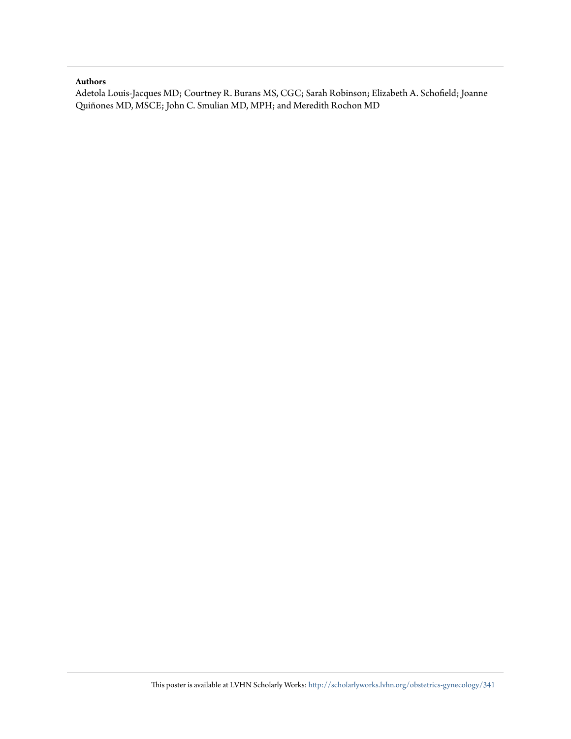### **Authors**

Adetola Louis-Jacques MD; Courtney R. Burans MS, CGC; Sarah Robinson; Elizabeth A. Schofield; Joanne Quiñones MD, MSCE; John C. Smulian MD, MPH; and Meredith Rochon MD